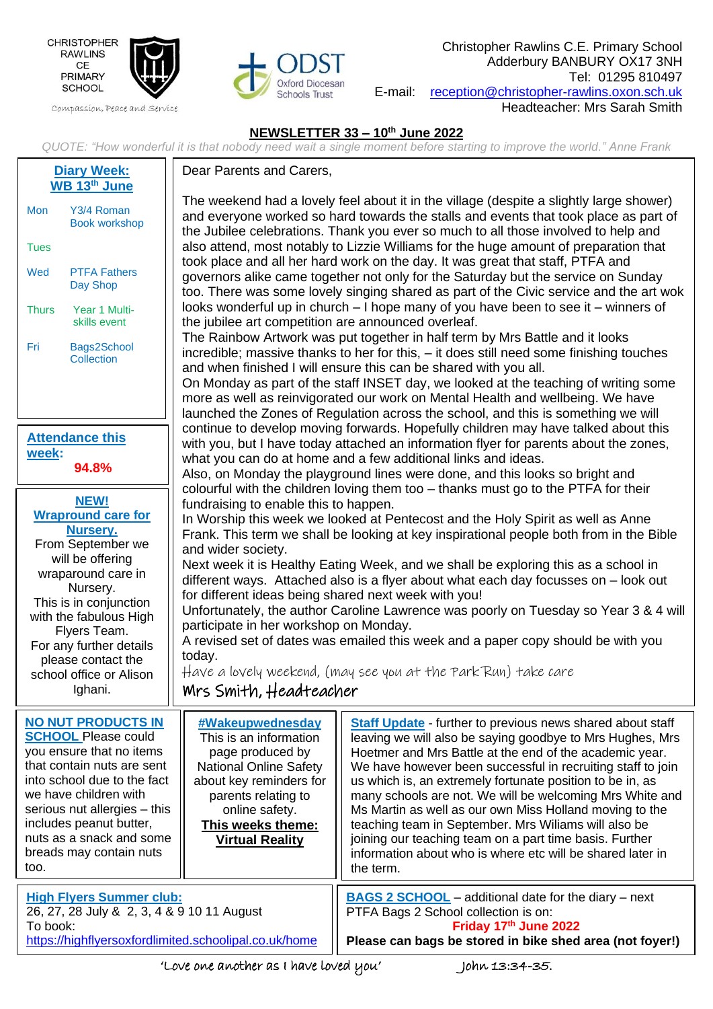

Compassion, Peace and Service



Christopher Rawlins C.E. Primary School Adderbury BANBURY OX17 3NH Tel: 01295 810497 E-mail: [reception@christopher-rawlins.oxon.sch.uk](mailto:reception@christopher-rawlins.oxon.sch.uk) Headteacher: Mrs Sarah Smith

## **NEWSLETTER 33 – 10th June 2022**

*QUOTE: "How wonderful it is that nobody need wait a single moment before starting to improve the world." Anne Frank*

| <b>Diary Week:</b><br>WB 13th June                                                                                                                                                                                                                                                                  | Dear Parents and Carers,                                                                                                                                                                                                                                                                                                                                                                                                                                                                                                                                                                                                                                                                                                                                                                                                                                                                                                                                                                                                                                                                                                                                                                                                                                                                                                                                                                                                                                                                                                                                                                                                                                                                                                                                                                                                                                                                                                                                                                                                                                                                                                                                                                                                                                                                                                                                                                                                                                                                                                        |                                                                                                                                                                                                                                                                                                                                                                                                                                                                                                                                                                                                                                            |  |  |
|-----------------------------------------------------------------------------------------------------------------------------------------------------------------------------------------------------------------------------------------------------------------------------------------------------|---------------------------------------------------------------------------------------------------------------------------------------------------------------------------------------------------------------------------------------------------------------------------------------------------------------------------------------------------------------------------------------------------------------------------------------------------------------------------------------------------------------------------------------------------------------------------------------------------------------------------------------------------------------------------------------------------------------------------------------------------------------------------------------------------------------------------------------------------------------------------------------------------------------------------------------------------------------------------------------------------------------------------------------------------------------------------------------------------------------------------------------------------------------------------------------------------------------------------------------------------------------------------------------------------------------------------------------------------------------------------------------------------------------------------------------------------------------------------------------------------------------------------------------------------------------------------------------------------------------------------------------------------------------------------------------------------------------------------------------------------------------------------------------------------------------------------------------------------------------------------------------------------------------------------------------------------------------------------------------------------------------------------------------------------------------------------------------------------------------------------------------------------------------------------------------------------------------------------------------------------------------------------------------------------------------------------------------------------------------------------------------------------------------------------------------------------------------------------------------------------------------------------------|--------------------------------------------------------------------------------------------------------------------------------------------------------------------------------------------------------------------------------------------------------------------------------------------------------------------------------------------------------------------------------------------------------------------------------------------------------------------------------------------------------------------------------------------------------------------------------------------------------------------------------------------|--|--|
| Y3/4 Roman<br>Mon<br><b>Book workshop</b><br><b>Tues</b>                                                                                                                                                                                                                                            | The weekend had a lovely feel about it in the village (despite a slightly large shower)<br>and everyone worked so hard towards the stalls and events that took place as part of<br>the Jubilee celebrations. Thank you ever so much to all those involved to help and<br>also attend, most notably to Lizzie Williams for the huge amount of preparation that<br>took place and all her hard work on the day. It was great that staff, PTFA and<br>governors alike came together not only for the Saturday but the service on Sunday<br>too. There was some lovely singing shared as part of the Civic service and the art wok<br>looks wonderful up in church $-1$ hope many of you have been to see it $-$ winners of<br>the jubilee art competition are announced overleaf.<br>The Rainbow Artwork was put together in half term by Mrs Battle and it looks<br>incredible; massive thanks to her for this, - it does still need some finishing touches<br>and when finished I will ensure this can be shared with you all.<br>On Monday as part of the staff INSET day, we looked at the teaching of writing some<br>more as well as reinvigorated our work on Mental Health and wellbeing. We have<br>launched the Zones of Regulation across the school, and this is something we will<br>continue to develop moving forwards. Hopefully children may have talked about this<br>with you, but I have today attached an information flyer for parents about the zones,<br>what you can do at home and a few additional links and ideas.<br>Also, on Monday the playground lines were done, and this looks so bright and<br>colourful with the children loving them too - thanks must go to the PTFA for their<br>fundraising to enable this to happen.<br>In Worship this week we looked at Pentecost and the Holy Spirit as well as Anne<br>Frank. This term we shall be looking at key inspirational people both from in the Bible<br>and wider society.<br>Next week it is Healthy Eating Week, and we shall be exploring this as a school in<br>different ways. Attached also is a flyer about what each day focusses on - look out<br>for different ideas being shared next week with you!<br>Unfortunately, the author Caroline Lawrence was poorly on Tuesday so Year 3 & 4 will<br>participate in her workshop on Monday.<br>A revised set of dates was emailed this week and a paper copy should be with you<br>today.<br>Have a lovely weekend, (may see you at the Park Run) take care<br>Mrs Smith, Headteacher |                                                                                                                                                                                                                                                                                                                                                                                                                                                                                                                                                                                                                                            |  |  |
| <b>PTFA Fathers</b><br>Wed<br>Day Shop                                                                                                                                                                                                                                                              |                                                                                                                                                                                                                                                                                                                                                                                                                                                                                                                                                                                                                                                                                                                                                                                                                                                                                                                                                                                                                                                                                                                                                                                                                                                                                                                                                                                                                                                                                                                                                                                                                                                                                                                                                                                                                                                                                                                                                                                                                                                                                                                                                                                                                                                                                                                                                                                                                                                                                                                                 |                                                                                                                                                                                                                                                                                                                                                                                                                                                                                                                                                                                                                                            |  |  |
| Year 1 Multi-<br><b>Thurs</b><br>skills event                                                                                                                                                                                                                                                       |                                                                                                                                                                                                                                                                                                                                                                                                                                                                                                                                                                                                                                                                                                                                                                                                                                                                                                                                                                                                                                                                                                                                                                                                                                                                                                                                                                                                                                                                                                                                                                                                                                                                                                                                                                                                                                                                                                                                                                                                                                                                                                                                                                                                                                                                                                                                                                                                                                                                                                                                 |                                                                                                                                                                                                                                                                                                                                                                                                                                                                                                                                                                                                                                            |  |  |
| Bags2School<br>Fri<br>Collection                                                                                                                                                                                                                                                                    |                                                                                                                                                                                                                                                                                                                                                                                                                                                                                                                                                                                                                                                                                                                                                                                                                                                                                                                                                                                                                                                                                                                                                                                                                                                                                                                                                                                                                                                                                                                                                                                                                                                                                                                                                                                                                                                                                                                                                                                                                                                                                                                                                                                                                                                                                                                                                                                                                                                                                                                                 |                                                                                                                                                                                                                                                                                                                                                                                                                                                                                                                                                                                                                                            |  |  |
| <b>Attendance this</b><br>week:<br>94.8%                                                                                                                                                                                                                                                            |                                                                                                                                                                                                                                                                                                                                                                                                                                                                                                                                                                                                                                                                                                                                                                                                                                                                                                                                                                                                                                                                                                                                                                                                                                                                                                                                                                                                                                                                                                                                                                                                                                                                                                                                                                                                                                                                                                                                                                                                                                                                                                                                                                                                                                                                                                                                                                                                                                                                                                                                 |                                                                                                                                                                                                                                                                                                                                                                                                                                                                                                                                                                                                                                            |  |  |
| <b>NEW!</b><br><b>Wrapround care for</b><br>Nursery.<br>From September we<br>will be offering<br>wraparound care in<br>Nursery.<br>This is in conjunction<br>with the fabulous High<br>Flyers Team.<br>For any further details<br>please contact the<br>school office or Alison<br>Ighani.          |                                                                                                                                                                                                                                                                                                                                                                                                                                                                                                                                                                                                                                                                                                                                                                                                                                                                                                                                                                                                                                                                                                                                                                                                                                                                                                                                                                                                                                                                                                                                                                                                                                                                                                                                                                                                                                                                                                                                                                                                                                                                                                                                                                                                                                                                                                                                                                                                                                                                                                                                 |                                                                                                                                                                                                                                                                                                                                                                                                                                                                                                                                                                                                                                            |  |  |
| <b>NO NUT PRODUCTS IN</b><br><b>SCHOOL Please could</b><br>you ensure that no items<br>that contain nuts are sent<br>into school due to the fact<br>we have children with<br>serious nut allergies - this<br>includes peanut butter,<br>nuts as a snack and some<br>breads may contain nuts<br>too. | <b>#Wakeupwednesday</b><br>This is an information<br>page produced by<br><b>National Online Safety</b><br>about key reminders for<br>parents relating to<br>online safety.<br>This weeks theme:<br><b>Virtual Reality</b>                                                                                                                                                                                                                                                                                                                                                                                                                                                                                                                                                                                                                                                                                                                                                                                                                                                                                                                                                                                                                                                                                                                                                                                                                                                                                                                                                                                                                                                                                                                                                                                                                                                                                                                                                                                                                                                                                                                                                                                                                                                                                                                                                                                                                                                                                                       | <b>Staff Update</b> - further to previous news shared about staff<br>leaving we will also be saying goodbye to Mrs Hughes, Mrs<br>Hoetmer and Mrs Battle at the end of the academic year.<br>We have however been successful in recruiting staff to join<br>us which is, an extremely fortunate position to be in, as<br>many schools are not. We will be welcoming Mrs White and<br>Ms Martin as well as our own Miss Holland moving to the<br>teaching team in September. Mrs Wiliams will also be<br>joining our teaching team on a part time basis. Further<br>information about who is where etc will be shared later in<br>the term. |  |  |
| <b>High Flyers Summer club:</b><br>26, 27, 28 July & 2, 3, 4 & 9 10 11 August<br>To book:                                                                                                                                                                                                           |                                                                                                                                                                                                                                                                                                                                                                                                                                                                                                                                                                                                                                                                                                                                                                                                                                                                                                                                                                                                                                                                                                                                                                                                                                                                                                                                                                                                                                                                                                                                                                                                                                                                                                                                                                                                                                                                                                                                                                                                                                                                                                                                                                                                                                                                                                                                                                                                                                                                                                                                 | <b>BAGS 2 SCHOOL</b> – additional date for the diary – next<br>PTFA Bags 2 School collection is on:<br>Friday 17th June 2022                                                                                                                                                                                                                                                                                                                                                                                                                                                                                                               |  |  |
| https://highflyersoxfordlimited.schoolipal.co.uk/home<br>Please can bags be stored in bike shed area (not foyer!)                                                                                                                                                                                   |                                                                                                                                                                                                                                                                                                                                                                                                                                                                                                                                                                                                                                                                                                                                                                                                                                                                                                                                                                                                                                                                                                                                                                                                                                                                                                                                                                                                                                                                                                                                                                                                                                                                                                                                                                                                                                                                                                                                                                                                                                                                                                                                                                                                                                                                                                                                                                                                                                                                                                                                 |                                                                                                                                                                                                                                                                                                                                                                                                                                                                                                                                                                                                                                            |  |  |